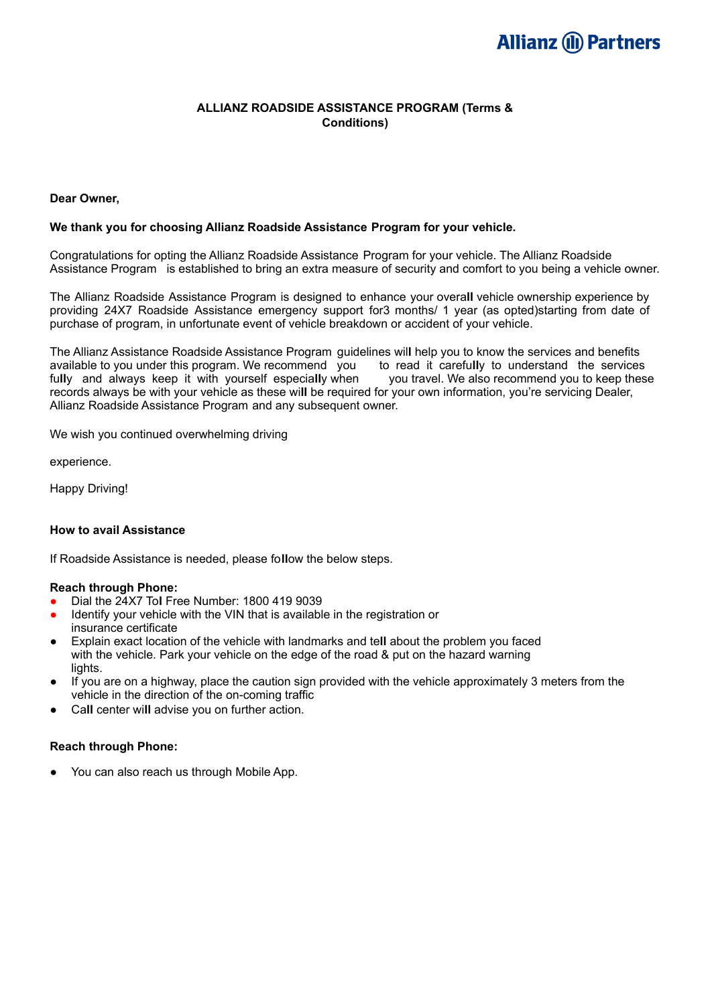# **Allianz (II) Partners**

#### **ALLIANZ ROADSIDE ASSISTANCE PROGRAM (Terms & Conditions)**

#### **Dear Owner,**

#### **We thank you for choosing Allianz Roadside Assistance Program for your vehicle.**

Congratulations for opting the Allianz Roadside Assistance Program for your vehicle. The Allianz Roadside Assistance Program is established to bring an extra measure of security and comfort to you being a vehicle owner.

The Allianz Roadside Assistance Program is designed to enhance your overa**ll** vehicle ownership experience by providing 24X7 Roadside Assistance emergency support for3 months/ 1 year (as opted)starting from date of purchase of program, in unfortunate event of vehicle breakdown or accident of your vehicle.

The Allianz Assistance Roadside Assistance Program guidelines wil**l** help you to know the services and benefits available to you under this program. We recommend you to read it carefu**ll**y to understand the services fu**ll**y and always keep it with yourself especia**ll**y when you travel. We also recommend you to keep these records always be with your vehicle as these wi**ll** be required for your own information, you're servicing Dealer, Allianz Roadside Assistance Program and any subsequent owner.

We wish you continued overwhelming driving

experience.

Happy Driving!

#### **How to avail Assistance**

If Roadside Assistance is needed, please fo**ll**ow the below steps.

#### **Reach through Phone:**

- Dial the 24X7 To**l** Free Number: 1800 419 9039
- Identify your vehicle with the VIN that is available in the registration or insurance certificate
- Explain exact location of the vehicle with landmarks and te**ll** about the problem you faced with the vehicle. Park your vehicle on the edge of the road & put on the hazard warning lights.
- If you are on a highway, place the caution sign provided with the vehicle approximately 3 meters from the vehicle in the direction of the on-coming traffic
- Call center will advise you on further action.

#### **Reach through Phone:**

● You can also reach us through Mobile App.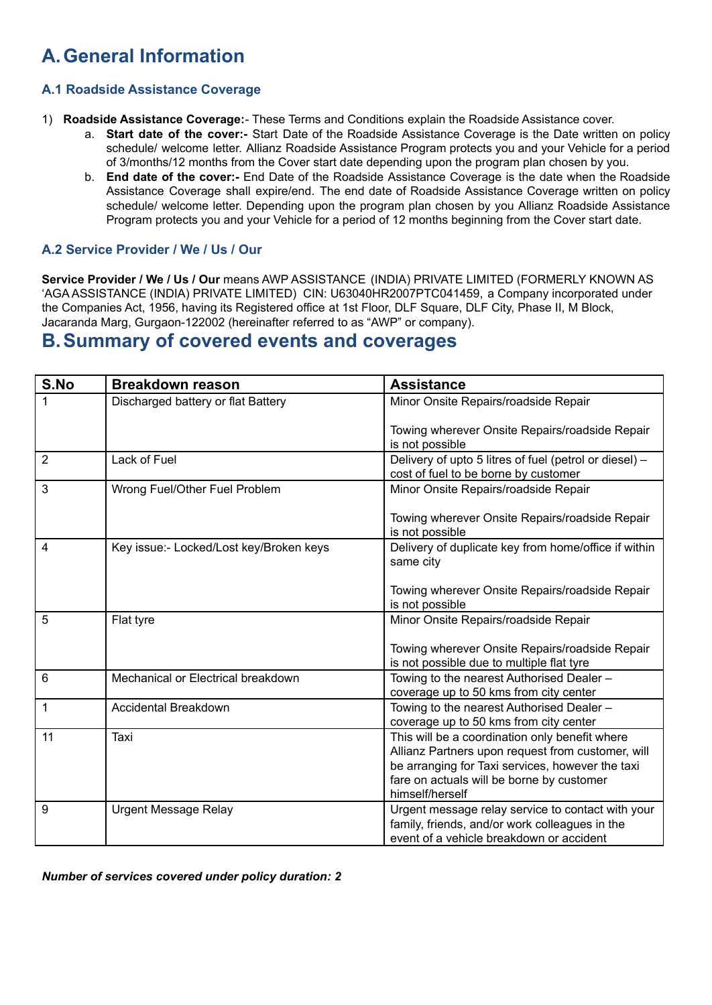# **A.General Information**

## **A.1 Roadside Assistance Coverage**

- 1) **Roadside Assistance Coverage:** These Terms and Conditions explain the Roadside Assistance cover.
	- a. **Start date of the cover:-** Start Date of the Roadside Assistance Coverage is the Date written on policy schedule/ welcome letter. Allianz Roadside Assistance Program protects you and your Vehicle for a period of 3/months/12 months from the Cover start date depending upon the program plan chosen by you.
	- b. **End date of the cover:-** End Date of the Roadside Assistance Coverage is the date when the Roadside Assistance Coverage shall expire/end. The end date of Roadside Assistance Coverage written on policy schedule/ welcome letter. Depending upon the program plan chosen by you Allianz Roadside Assistance Program protects you and your Vehicle for a period of 12 months beginning from the Cover start date.

## **A.2 Service Provider / We / Us / Our**

**Service Provider / We / Us / Our** means AWP ASSISTANCE (INDIA) PRIVATE LIMITED (FORMERLY KNOWN AS 'AGA ASSISTANCE (INDIA) PRIVATE LIMITED) CIN: U63040HR2007PTC041459, a Company incorporated under the Companies Act, 1956, having its Registered office at 1st Floor, DLF Square, DLF City, Phase II, M Block, Jacaranda Marg, Gurgaon-122002 (hereinafter referred to as "AWP" or company).

## **B.Summary of covered events and coverages**

| S.No           | <b>Breakdown reason</b>                 | <b>Assistance</b>                                                                                                                                                                                                       |
|----------------|-----------------------------------------|-------------------------------------------------------------------------------------------------------------------------------------------------------------------------------------------------------------------------|
|                | Discharged battery or flat Battery      | Minor Onsite Repairs/roadside Repair                                                                                                                                                                                    |
|                |                                         | Towing wherever Onsite Repairs/roadside Repair<br>is not possible                                                                                                                                                       |
| $\overline{2}$ | Lack of Fuel                            | Delivery of upto 5 litres of fuel (petrol or diesel) -<br>cost of fuel to be borne by customer                                                                                                                          |
| 3              | Wrong Fuel/Other Fuel Problem           | Minor Onsite Repairs/roadside Repair                                                                                                                                                                                    |
|                |                                         | Towing wherever Onsite Repairs/roadside Repair<br>is not possible                                                                                                                                                       |
| 4              | Key issue:- Locked/Lost key/Broken keys | Delivery of duplicate key from home/office if within<br>same city                                                                                                                                                       |
|                |                                         | Towing wherever Onsite Repairs/roadside Repair<br>is not possible                                                                                                                                                       |
| 5              | Flat tyre                               | Minor Onsite Repairs/roadside Repair                                                                                                                                                                                    |
|                |                                         | Towing wherever Onsite Repairs/roadside Repair<br>is not possible due to multiple flat tyre                                                                                                                             |
| 6              | Mechanical or Electrical breakdown      | Towing to the nearest Authorised Dealer -<br>coverage up to 50 kms from city center                                                                                                                                     |
| 1              | Accidental Breakdown                    | Towing to the nearest Authorised Dealer -<br>coverage up to 50 kms from city center                                                                                                                                     |
| 11             | Taxi                                    | This will be a coordination only benefit where<br>Allianz Partners upon request from customer, will<br>be arranging for Taxi services, however the taxi<br>fare on actuals will be borne by customer<br>himself/herself |
| 9              | <b>Urgent Message Relay</b>             | Urgent message relay service to contact with your<br>family, friends, and/or work colleagues in the<br>event of a vehicle breakdown or accident                                                                         |

*Number of services covered under policy duration: 2*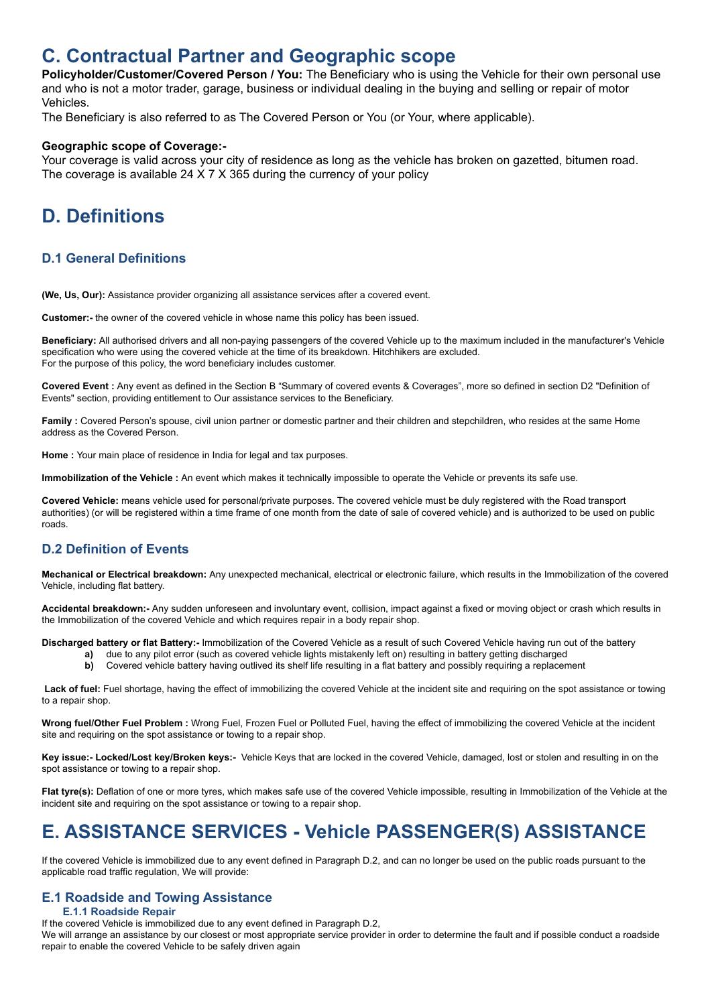## **C. Contractual Partner and Geographic scope**

**Policyholder/Customer/Covered Person / You:** The Beneficiary who is using the Vehicle for their own personal use and who is not a motor trader, garage, business or individual dealing in the buying and selling or repair of motor Vehicles.

The Beneficiary is also referred to as The Covered Person or You (or Your, where applicable).

#### **Geographic scope of Coverage:-**

Your coverage is valid across your city of residence as long as the vehicle has broken on gazetted, bitumen road. The coverage is available 24 X 7 X 365 during the currency of your policy

# **D. Definitions**

## **D.1 General Definitions**

**(We, Us, Our):** Assistance provider organizing all assistance services after a covered event.

**Customer:-** the owner of the covered vehicle in whose name this policy has been issued.

**Beneficiary:** All authorised drivers and all non-paying passengers of the covered Vehicle up to the maximum included in the manufacturer's Vehicle specification who were using the covered vehicle at the time of its breakdown. Hitchhikers are excluded. For the purpose of this policy, the word beneficiary includes customer.

**Covered Event :** Any event as defined in the Section B "Summary of covered events & Coverages", more so defined in section D2 "Definition of Events" section, providing entitlement to Our assistance services to the Beneficiary.

Family: Covered Person's spouse, civil union partner or domestic partner and their children and stepchildren, who resides at the same Home address as the Covered Person.

**Home :** Your main place of residence in India for legal and tax purposes.

**Immobilization of the Vehicle :** An event which makes it technically impossible to operate the Vehicle or prevents its safe use.

**Covered Vehicle:** means vehicle used for personal/private purposes. The covered vehicle must be duly registered with the Road transport authorities) (or will be registered within a time frame of one month from the date of sale of covered vehicle) and is authorized to be used on public roads.

## **D.2 Definition of Events**

**Mechanical or Electrical breakdown:** Any unexpected mechanical, electrical or electronic failure, which results in the Immobilization of the covered Vehicle, including flat battery.

**Accidental breakdown:-** Any sudden unforeseen and involuntary event, collision, impact against a fixed or moving object or crash which results in the Immobilization of the covered Vehicle and which requires repair in a body repair shop.

**Discharged battery or flat Battery:-** Immobilization of the Covered Vehicle as a result of such Covered Vehicle having run out of the battery

- **a)** due to any pilot error (such as covered vehicle lights mistakenly left on) resulting in battery getting discharged
- **b)** Covered vehicle battery having outlived its shelf life resulting in a flat battery and possibly requiring a replacement

Lack of fuel: Fuel shortage, having the effect of immobilizing the covered Vehicle at the incident site and requiring on the spot assistance or towing to a repair shop.

**Wrong fuel/Other Fuel Problem :** Wrong Fuel, Frozen Fuel or Polluted Fuel, having the effect of immobilizing the covered Vehicle at the incident site and requiring on the spot assistance or towing to a repair shop.

**Key issue:- Locked/Lost key/Broken keys:-** Vehicle Keys that are locked in the covered Vehicle, damaged, lost or stolen and resulting in on the spot assistance or towing to a repair shop.

**Flat tyre(s):** Deflation of one or more tyres, which makes safe use of the covered Vehicle impossible, resulting in Immobilization of the Vehicle at the incident site and requiring on the spot assistance or towing to a repair shop.

# **E. ASSISTANCE SERVICES - Vehicle PASSENGER(S) ASSISTANCE**

If the covered Vehicle is immobilized due to any event defined in Paragraph D.2, and can no longer be used on the public roads pursuant to the applicable road traffic regulation, We will provide:

## **E.1 Roadside and Towing Assistance**

#### **E.1.1 Roadside Repair**

If the covered Vehicle is immobilized due to any event defined in Paragraph D.2,

We will arrange an assistance by our closest or most appropriate service provider in order to determine the fault and if possible conduct a roadside repair to enable the covered Vehicle to be safely driven again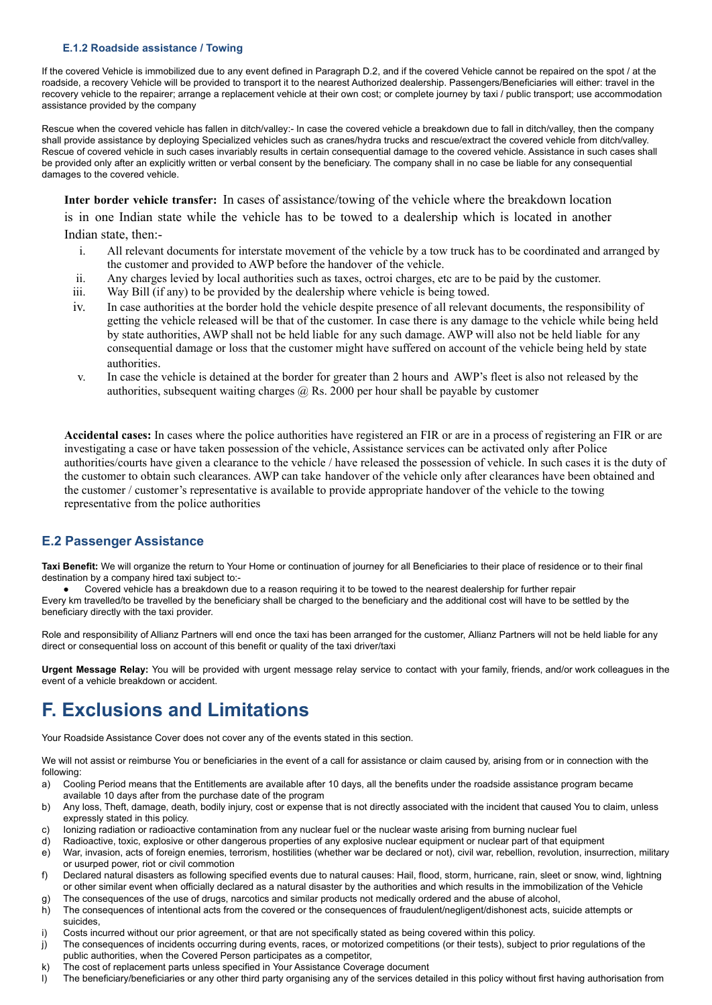#### **E.1.2 Roadside assistance / Towing**

If the covered Vehicle is immobilized due to any event defined in Paragraph D.2, and if the covered Vehicle cannot be repaired on the spot / at the roadside, a recovery Vehicle will be provided to transport it to the nearest Authorized dealership. Passengers/Beneficiaries will either: travel in the recovery vehicle to the repairer; arrange a replacement vehicle at their own cost; or complete journey by taxi / public transport; use accommodation assistance provided by the company

Rescue when the covered vehicle has fallen in ditch/valley:- In case the covered vehicle a breakdown due to fall in ditch/valley, then the company shall provide assistance by deploying Specialized vehicles such as cranes/hydra trucks and rescue/extract the covered vehicle from ditch/valley. Rescue of covered vehicle in such cases invariably results in certain consequential damage to the covered vehicle. Assistance in such cases shall be provided only after an explicitly written or verbal consent by the beneficiary. The company shall in no case be liable for any consequential damages to the covered vehicle.

**Inter border vehicle transfer:** In cases of assistance/towing of the vehicle where the breakdown location

is in one Indian state while the vehicle has to be towed to a dealership which is located in another Indian state, then:-

- i. All relevant documents for interstate movement of the vehicle by a tow truck has to be coordinated and arranged by the customer and provided to AWP before the handover of the vehicle.
- ii. Any charges levied by local authorities such as taxes, octroi charges, etc are to be paid by the customer.
- iii. Way Bill (if any) to be provided by the dealership where vehicle is being towed.
- iv. In case authorities at the border hold the vehicle despite presence of all relevant documents, the responsibility of getting the vehicle released will be that of the customer. In case there is any damage to the vehicle while being held by state authorities, AWP shall not be held liable for any such damage. AWP will also not be held liable for any consequential damage or loss that the customer might have suffered on account of the vehicle being held by state authorities.
- v. In case the vehicle is detained at the border for greater than 2 hours and AWP's fleet is also not released by the authorities, subsequent waiting charges  $\omega$  Rs. 2000 per hour shall be payable by customer

**Accidental cases:** In cases where the police authorities have registered an FIR or are in a process of registering an FIR or are investigating a case or have taken possession of the vehicle, Assistance services can be activated only after Police authorities/courts have given a clearance to the vehicle / have released the possession of vehicle. In such cases it is the duty of the customer to obtain such clearances. AWP can take handover of the vehicle only after clearances have been obtained and the customer / customer's representative is available to provide appropriate handover of the vehicle to the towing representative from the police authorities

### **E.2 Passenger Assistance**

**Taxi Benefit:** We will organize the return to Your Home or continuation of journey for all Beneficiaries to their place of residence or to their final destination by a company hired taxi subject to:-

Covered vehicle has a breakdown due to a reason requiring it to be towed to the nearest dealership for further repair Every km travelled/to be travelled by the beneficiary shall be charged to the beneficiary and the additional cost will have to be settled by the beneficiary directly with the taxi provider.

Role and responsibility of Allianz Partners will end once the taxi has been arranged for the customer, Allianz Partners will not be held liable for any direct or consequential loss on account of this benefit or quality of the taxi driver/taxi

**Urgent Message Relay:** You will be provided with urgent message relay service to contact with your family, friends, and/or work colleagues in the event of a vehicle breakdown or accident.

## **F. Exclusions and Limitations**

Your Roadside Assistance Cover does not cover any of the events stated in this section.

We will not assist or reimburse You or beneficiaries in the event of a call for assistance or claim caused by, arising from or in connection with the following:

- a) Cooling Period means that the Entitlements are available after 10 days, all the benefits under the roadside assistance program became available 10 days after from the purchase date of the program
- b) Any loss, Theft, damage, death, bodily injury, cost or expense that is not directly associated with the incident that caused You to claim, unless expressly stated in this policy.
- c) Ionizing radiation or radioactive contamination from any nuclear fuel or the nuclear waste arising from burning nuclear fuel
- d) Radioactive, toxic, explosive or other dangerous properties of any explosive nuclear equipment or nuclear part of that equipment
- e) War, invasion, acts of foreign enemies, terrorism, hostilities (whether war be declared or not), civil war, rebellion, revolution, insurrection, military or usurped power, riot or civil commotion
- f) Declared natural disasters as following specified events due to natural causes: Hail, flood, storm, hurricane, rain, sleet or snow, wind, lightning or other similar event when officially declared as a natural disaster by the authorities and which results in the immobilization of the Vehicle
- g) The consequences of the use of drugs, narcotics and similar products not medically ordered and the abuse of alcohol,
- h) The consequences of intentional acts from the covered or the consequences of fraudulent/negligent/dishonest acts, suicide attempts or suicides,
- i) Costs incurred without our prior agreement, or that are not specifically stated as being covered within this policy.
- j) The consequences of incidents occurring during events, races, or motorized competitions (or their tests), subject to prior regulations of the public authorities, when the Covered Person participates as a competitor,
- The cost of replacement parts unless specified in Your Assistance Coverage document
- l) The beneficiary/beneficiaries or any other third party organising any of the services detailed in this policy without first having authorisation from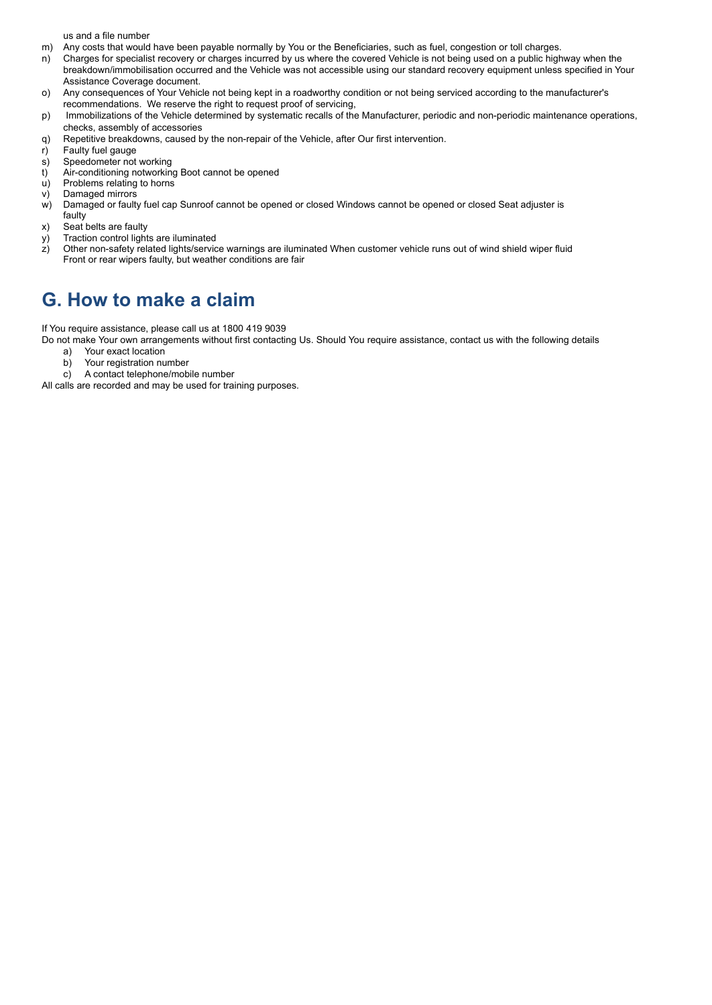us and a file number

- m) Any costs that would have been payable normally by You or the Beneficiaries, such as fuel, congestion or toll charges.
- n) Charges for specialist recovery or charges incurred by us where the covered Vehicle is not being used on a public highway when the breakdown/immobilisation occurred and the Vehicle was not accessible using our standard recovery equipment unless specified in Your Assistance Coverage document.
- o) Any consequences of Your Vehicle not being kept in a roadworthy condition or not being serviced according to the manufacturer's recommendations. We reserve the right to request proof of servicing,
- p) Immobilizations of the Vehicle determined by systematic recalls of the Manufacturer, periodic and non-periodic maintenance operations, checks, assembly of accessories
- q) Repetitive breakdowns, caused by the non-repair of the Vehicle, after Our first intervention.
- r) Faulty fuel gauge
- s) Speedometer not working
- t) Air-conditioning notworking Boot cannot be opened
- u) Problems relating to horns
- v) Damaged mirrors
- w) Damaged or faulty fuel cap Sunroof cannot be opened or closed Windows cannot be opened or closed Seat adjuster is
- faulty
- x) Seat belts are faulty
- y) Traction control lights are iluminated
- z) Other non-safety related lights/service warnings are iluminated When customer vehicle runs out of wind shield wiper fluid Front or rear wipers faulty, but weather conditions are fair

## **G. How to make a claim**

If You require assistance, please call us at 1800 419 9039

Do not make Your own arrangements without first contacting Us. Should You require assistance, contact us with the following details

- a) Your exact location<br>b) Your registration nu Your registration number
- c) A contact telephone/mobile number

All calls are recorded and may be used for training purposes.